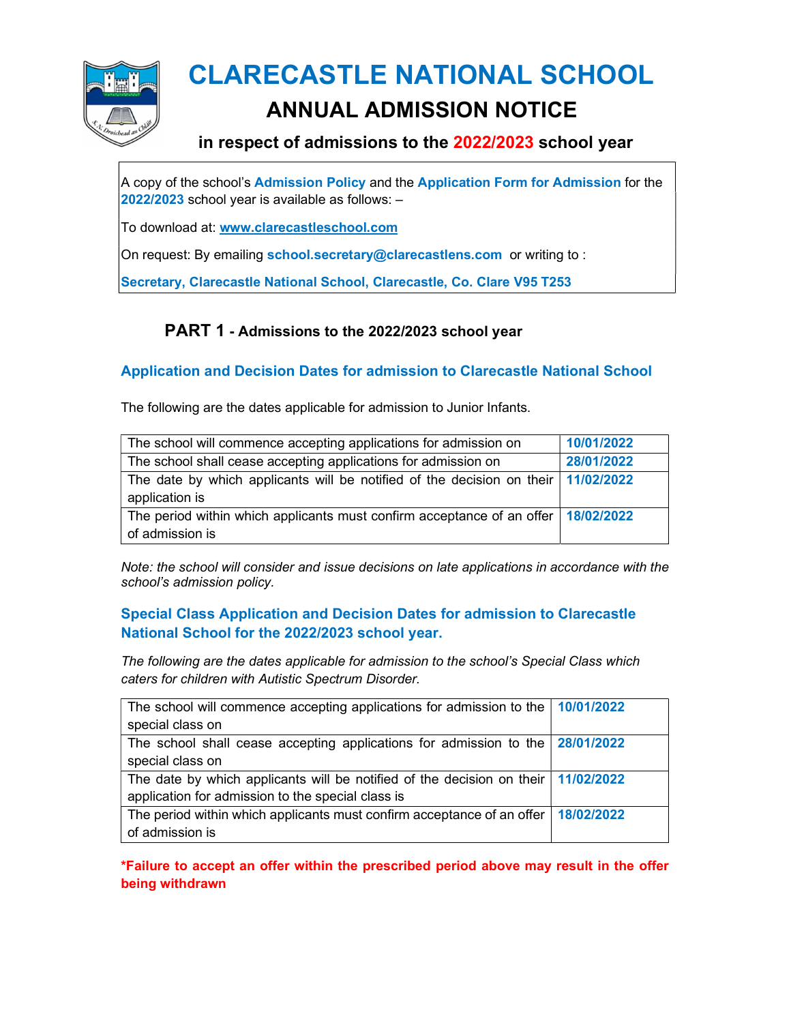

# CLARECASTLE NATIONAL SCHOOL

### ANNUAL ADMISSION NOTICE

#### in respect of admissions to the 2022/2023 school year

A copy of the school's Admission Policy and the Application Form for Admission for the 2022/2023 school year is available as follows: –

To download at: www.clarecastleschool.com

On request: By emailing school.secretary@clarecastlens.com or writing to:

Secretary, Clarecastle National School, Clarecastle, Co. Clare V95 T253

#### PART 1 - Admissions to the 2022/2023 school year

#### Application and Decision Dates for admission to Clarecastle National School

The following are the dates applicable for admission to Junior Infants.

| The school will commence accepting applications for admission on                    | 10/01/2022 |
|-------------------------------------------------------------------------------------|------------|
| The school shall cease accepting applications for admission on                      | 28/01/2022 |
| The date by which applicants will be notified of the decision on their $11/02/2022$ |            |
| application is                                                                      |            |
| The period within which applicants must confirm acceptance of an offer   18/02/2022 |            |
| of admission is                                                                     |            |

Note: the school will consider and issue decisions on late applications in accordance with the school's admission policy.

#### Special Class Application and Decision Dates for admission to Clarecastle National School for the 2022/2023 school year.

The following are the dates applicable for admission to the school's Special Class which caters for children with Autistic Spectrum Disorder.

| The school will commence accepting applications for admission to the $\mid$ 10/01/2022  |  |
|-----------------------------------------------------------------------------------------|--|
| special class on                                                                        |  |
| The school shall cease accepting applications for admission to the $\frac{28}{01/2022}$ |  |
| special class on                                                                        |  |
| The date by which applicants will be notified of the decision on their   11/02/2022     |  |
| application for admission to the special class is                                       |  |
| The period within which applicants must confirm acceptance of an offer   18/02/2022     |  |
| of admission is                                                                         |  |

\*Failure to accept an offer within the prescribed period above may result in the offer being withdrawn